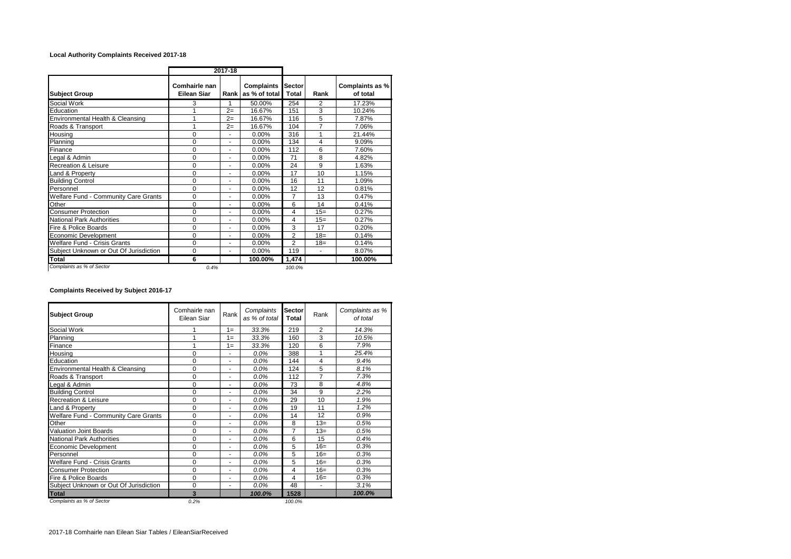## **Local Authority Complaints Received 2017-18**

|                                        | 2017-18                             |      |                                    |                        |                |                             |
|----------------------------------------|-------------------------------------|------|------------------------------------|------------------------|----------------|-----------------------------|
| <b>Subject Group</b>                   | Comhairle nan<br><b>Eilean Siar</b> | Rank | <b>Complaints</b><br>as % of total | <b>Sector</b><br>Total | Rank           | Complaints as %<br>of total |
| Social Work                            | 3                                   |      | 50.00%                             | 254                    | 2              | 17.23%                      |
| Education                              | 1                                   | $2=$ | 16.67%                             | 151                    | 3              | 10.24%                      |
| Environmental Health & Cleansing       | 1                                   | $2=$ | 16.67%                             | 116                    | 5              | 7.87%                       |
| Roads & Transport                      | 1                                   | $2=$ | 16.67%                             | 104                    | $\overline{7}$ | 7.06%                       |
| Housina                                | $\Omega$                            | ÷.   | 0.00%                              | 316                    | 1              | 21.44%                      |
| Planning                               | $\Omega$                            | ٠    | 0.00%                              | 134                    | 4              | 9.09%                       |
| Finance                                | 0                                   | ٠    | 0.00%                              | 112                    | 6              | 7.60%                       |
| Legal & Admin                          | $\Omega$                            | ٠    | 0.00%                              | 71                     | 8              | 4.82%                       |
| <b>Recreation &amp; Leisure</b>        | 0                                   | ٠    | 0.00%                              | 24                     | 9              | 1.63%                       |
| Land & Property                        | $\Omega$                            | ٠    | 0.00%                              | 17                     | 10             | 1.15%                       |
| <b>Building Control</b>                | $\mathbf 0$                         | ٠    | $0.00\%$                           | 16                     | 11             | 1.09%                       |
| Personnel                              | $\mathbf 0$                         | ٠    | 0.00%                              | 12                     | 12             | 0.81%                       |
| Welfare Fund - Community Care Grants   | $\mathbf 0$                         | ٠    | $0.00\%$                           | $\overline{7}$         | 13             | 0.47%                       |
| Other                                  | $\mathbf 0$                         | ٠    | 0.00%                              | 6                      | 14             | 0.41%                       |
| <b>Consumer Protection</b>             | $\Omega$                            | ä,   | 0.00%                              | 4                      | $15=$          | 0.27%                       |
| <b>National Park Authorities</b>       | $\Omega$                            | ٠    | 0.00%                              | 4                      | $15=$          | 0.27%                       |
| Fire & Police Boards                   | $\mathbf 0$                         | ٠    | 0.00%                              | 3                      | 17             | 0.20%                       |
| Economic Development                   | $\Omega$                            | ٠    | $0.00\%$                           | $\overline{2}$         | $18 =$         | 0.14%                       |
| <b>Welfare Fund - Crisis Grants</b>    | 0                                   | ٠    | 0.00%                              | $\overline{2}$         | $18 =$         | 0.14%                       |
| Subject Unknown or Out Of Jurisdiction | $\Omega$                            | ٠    | 0.00%                              | 119                    | ä,             | 8.07%                       |
| Total                                  | 6                                   |      | 100.00%                            | 1,474                  |                | 100.00%                     |
| Complaints as % of Sector              | 0.4%                                |      |                                    | 100.0%                 |                |                             |

**Complaints Received by Subject 2016-17**

| <b>Subject Group</b>                   | Comhairle nan<br>Eilean Siar | Rank                     | Complaints<br>as % of total | Sector<br>Total | Rank           | Complaints as %<br>of total |
|----------------------------------------|------------------------------|--------------------------|-----------------------------|-----------------|----------------|-----------------------------|
| Social Work                            |                              | $1 =$                    | 33.3%                       | 219             | $\overline{2}$ | 14.3%                       |
| Planning                               | 1                            | $1 =$                    | 33.3%                       | 160             | 3              | 10.5%                       |
| Finance                                | 1                            | $1 =$                    | 33.3%                       | 120             | 6              | 7.9%                        |
| Housing                                | 0                            | ٠                        | $0.0\%$                     | 388             | 1              | 25.4%                       |
| Education                              | 0                            | $\overline{\phantom{a}}$ | 0.0%                        | 144             | 4              | 9.4%                        |
| Environmental Health & Cleansing       | 0                            | ۰                        | 0.0%                        | 124             | 5              | 8.1%                        |
| Roads & Transport                      | 0                            | ٠                        | 0.0%                        | 112             | $\overline{7}$ | 7.3%                        |
| Legal & Admin                          | 0                            | ۰                        | 0.0%                        | 73              | 8              | 4.8%                        |
| <b>Building Control</b>                | 0                            | ٠                        | 0.0%                        | 34              | 9              | 2.2%                        |
| <b>Recreation &amp; Leisure</b>        | 0                            | ٠                        | 0.0%                        | 29              | 10             | 1.9%                        |
| Land & Property                        | 0                            | ٠                        | 0.0%                        | 19              | 11             | 1.2%                        |
| Welfare Fund - Community Care Grants   | 0                            | ٠                        | $0.0\%$                     | 14              | 12             | 0.9%                        |
| Other                                  | 0                            | ٠                        | 0.0%                        | 8               | $13=$          | 0.5%                        |
| <b>Valuation Joint Boards</b>          | 0                            | ۰                        | 0.0%                        | $\overline{7}$  | $13=$          | 0.5%                        |
| National Park Authorities              | 0                            | $\overline{\phantom{a}}$ | 0.0%                        | 6               | 15             | 0.4%                        |
| Economic Development                   | 0                            |                          | $0.0\%$                     | 5               | $16=$          | 0.3%                        |
| Personnel                              | 0                            | ٠                        | 0.0%                        | 5               | $16=$          | 0.3%                        |
| Welfare Fund - Crisis Grants           | 0                            | ٠                        | 0.0%                        | 5               | $16=$          | 0.3%                        |
| <b>Consumer Protection</b>             | 0                            | ٠                        | 0.0%                        | 4               | $16=$          | 0.3%                        |
| Fire & Police Boards                   | 0                            | ٠                        | 0.0%                        | 4               | $16=$          | 0.3%                        |
| Subject Unknown or Out Of Jurisdiction | 0                            | $\overline{\phantom{a}}$ | 0.0%                        | 48              | $\blacksquare$ | 3.1%                        |
| <b>Total</b>                           | 3                            |                          | 100.0%                      | 1528            |                | 100.0%                      |
| Complaints as % of Sector              | 0.2%                         |                          |                             | 100.0%          |                |                             |